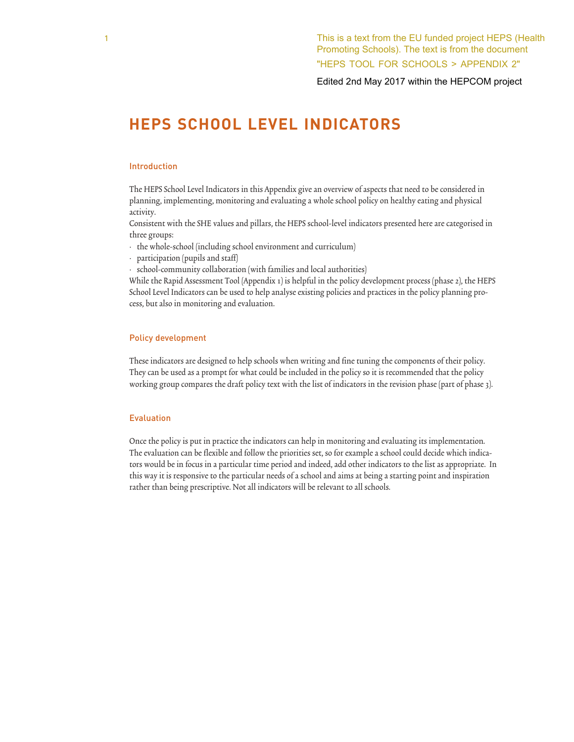Edited 2nd May 2017 within the HEPCOM project

# **HEPS SCHOOL LEVEL INDICATORS**

### Introduction

The HEPS School Level Indicators in this Appendix give an overview of aspects that need to be considered in planning, implementing, monitoring and evaluating a whole school policy on healthy eating and physical activity.

Consistent with the SHE values and pillars, the HEPS school-level indicators presented here are categorised in three groups:

- the whole-school (including school environment and curriculum)
- participation (pupils and staff)
- school-community collaboration (with families and local authorities)

While the Rapid Assessment Tool (Appendix 1) is helpful in the policy development process (phase 2), the HEPS School Level Indicators can be used to help analyse existing policies and practices in the policy planning process, but also in monitoring and evaluation.

#### Policy development

These indicators are designed to help schools when writing and fine tuning the components of their policy. They can be used as a prompt for what could be included in the policy so it is recommended that the policy working group compares the draft policy text with the list of indicators in the revision phase (part of phase 3).

## Evaluation

Once the policy is put in practice the indicators can help in monitoring and evaluating its implementation. The evaluation can be flexible and follow the priorities set, so for example a school could decide which indicators would be in focus in a particular time period and indeed, add other indicators to the list as appropriate. In this way it is responsive to the particular needs of a school and aims at being a starting point and inspiration rather than being prescriptive. Not all indicators will be relevant to all schools.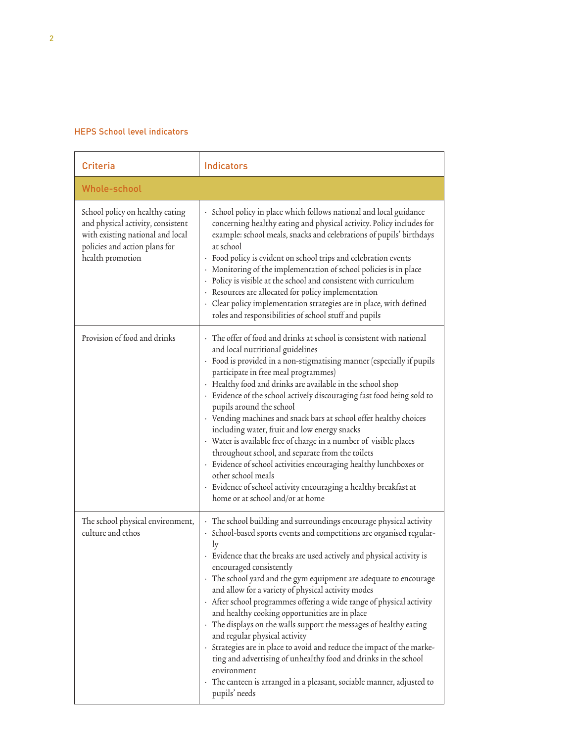# HEPS School level indicators

| Criteria                                                                                                                                                      | <b>Indicators</b>                                                                                                                                                                                                                                                                                                                                                                                                                                                                                                                                                                                                                                                                                                                                                                                                                                                |
|---------------------------------------------------------------------------------------------------------------------------------------------------------------|------------------------------------------------------------------------------------------------------------------------------------------------------------------------------------------------------------------------------------------------------------------------------------------------------------------------------------------------------------------------------------------------------------------------------------------------------------------------------------------------------------------------------------------------------------------------------------------------------------------------------------------------------------------------------------------------------------------------------------------------------------------------------------------------------------------------------------------------------------------|
| Whole-school                                                                                                                                                  |                                                                                                                                                                                                                                                                                                                                                                                                                                                                                                                                                                                                                                                                                                                                                                                                                                                                  |
| School policy on healthy eating<br>and physical activity, consistent<br>with existing national and local<br>policies and action plans for<br>health promotion | · School policy in place which follows national and local guidance<br>concerning healthy eating and physical activity. Policy includes for<br>example: school meals, snacks and celebrations of pupils' birthdays<br>at school<br>· Food policy is evident on school trips and celebration events<br>· Monitoring of the implementation of school policies is in place<br>· Policy is visible at the school and consistent with curriculum<br>· Resources are allocated for policy implementation<br>· Clear policy implementation strategies are in place, with defined<br>roles and responsibilities of school stuff and pupils                                                                                                                                                                                                                                |
| Provision of food and drinks                                                                                                                                  | The offer of food and drinks at school is consistent with national<br>and local nutritional guidelines<br>· Food is provided in a non-stigmatising manner (especially if pupils<br>participate in free meal programmes)<br>· Healthy food and drinks are available in the school shop<br>· Evidence of the school actively discouraging fast food being sold to<br>pupils around the school<br>· Vending machines and snack bars at school offer healthy choices<br>including water, fruit and low energy snacks<br>· Water is available free of charge in a number of visible places<br>throughout school, and separate from the toilets<br>· Evidence of school activities encouraging healthy lunchboxes or<br>other school meals<br>· Evidence of school activity encouraging a healthy breakfast at<br>home or at school and/or at home                     |
| The school physical environment,<br>culture and ethos                                                                                                         | The school building and surroundings encourage physical activity<br>· School-based sports events and competitions are organised regular-<br>ly<br>Evidence that the breaks are used actively and physical activity is<br>encouraged consistently<br>· The school yard and the gym equipment are adequate to encourage<br>and allow for a variety of physical activity modes<br>· After school programmes offering a wide range of physical activity<br>and healthy cooking opportunities are in place<br>· The displays on the walls support the messages of healthy eating<br>and regular physical activity<br>· Strategies are in place to avoid and reduce the impact of the marke-<br>ting and advertising of unhealthy food and drinks in the school<br>environment<br>The canteen is arranged in a pleasant, sociable manner, adjusted to<br>pupils' needs |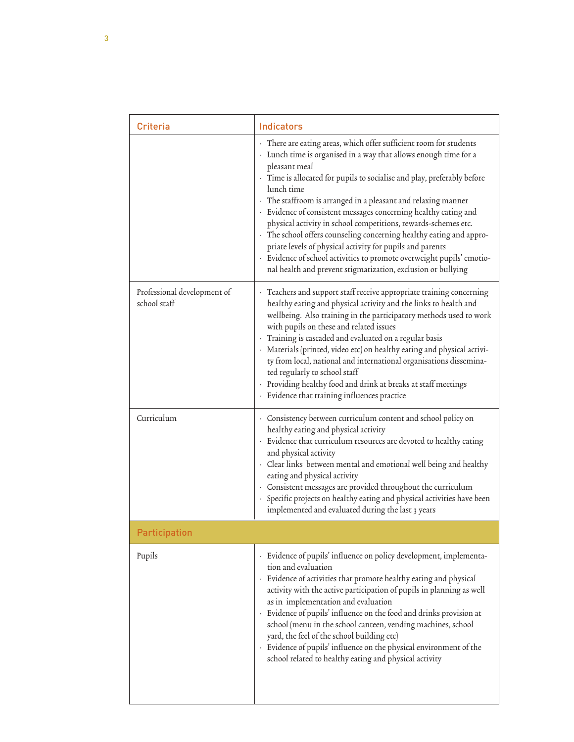| <b>Criteria</b>                             | Indicators                                                                                                                                                                                                                                                                                                                                                                                                                                                                                                                                                                                                                                                                                                                          |  |
|---------------------------------------------|-------------------------------------------------------------------------------------------------------------------------------------------------------------------------------------------------------------------------------------------------------------------------------------------------------------------------------------------------------------------------------------------------------------------------------------------------------------------------------------------------------------------------------------------------------------------------------------------------------------------------------------------------------------------------------------------------------------------------------------|--|
|                                             | · There are eating areas, which offer sufficient room for students<br>· Lunch time is organised in a way that allows enough time for a<br>pleasant meal<br>· Time is allocated for pupils to socialise and play, preferably before<br>lunch time<br>· The staffroom is arranged in a pleasant and relaxing manner<br>· Evidence of consistent messages concerning healthy eating and<br>physical activity in school competitions, rewards-schemes etc.<br>· The school offers counseling concerning healthy eating and appro-<br>priate levels of physical activity for pupils and parents<br>· Evidence of school activities to promote overweight pupils' emotio-<br>nal health and prevent stigmatization, exclusion or bullying |  |
| Professional development of<br>school staff | Teachers and support staff receive appropriate training concerning<br>healthy eating and physical activity and the links to health and<br>wellbeing. Also training in the participatory methods used to work<br>with pupils on these and related issues<br>Training is cascaded and evaluated on a regular basis<br>· Materials (printed, video etc) on healthy eating and physical activi-<br>ty from local, national and international organisations dissemina-<br>ted regularly to school staff<br>· Providing healthy food and drink at breaks at staff meetings<br>· Evidence that training influences practice                                                                                                                |  |
| Curriculum                                  | · Consistency between curriculum content and school policy on<br>healthy eating and physical activity<br>· Evidence that curriculum resources are devoted to healthy eating<br>and physical activity<br>· Clear links between mental and emotional well being and healthy<br>eating and physical activity<br>· Consistent messages are provided throughout the curriculum<br>· Specific projects on healthy eating and physical activities have been<br>implemented and evaluated during the last 3 years                                                                                                                                                                                                                           |  |
| <b>Participation</b>                        |                                                                                                                                                                                                                                                                                                                                                                                                                                                                                                                                                                                                                                                                                                                                     |  |
| Pupils                                      | · Evidence of pupils' influence on policy development, implementa-<br>tion and evaluation<br>Evidence of activities that promote healthy eating and physical<br>activity with the active participation of pupils in planning as well<br>as in implementation and evaluation<br>· Evidence of pupils' influence on the food and drinks provision at<br>school (menu in the school canteen, vending machines, school<br>yard, the feel of the school building etc)<br>Evidence of pupils' influence on the physical environment of the<br>school related to healthy eating and physical activity                                                                                                                                      |  |